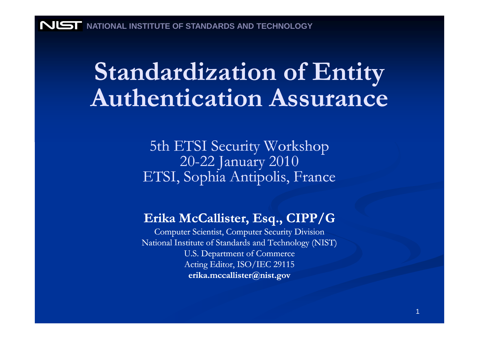# Standardization of Entity Authentication Assurance

5th ETSI Security Workshop<br>20.22 January 2010 20-22 January 2010ETSI, Sophia Antipolis, France

#### Erika McCallister, Esq., CIPP/G

 Computer Scientist, Computer Security Division National Institute of Standards and Technology (NIST) U.S. Department of Commerce Acting Editor, ISO/IEC 29115erika.mccallister@nist.gov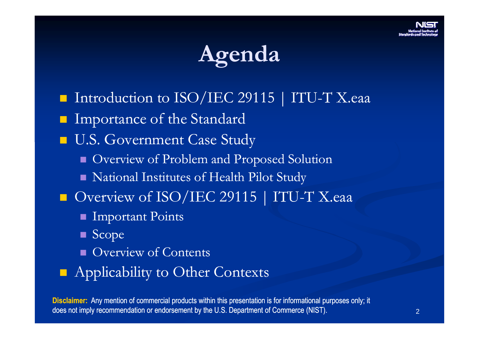# Agenda

- Introduction to ISO/IEC 29115 | ITU-T X.eaa
- Importance of the Standard
- **U.S. Government Case Study** 
	- **D** Overview of Problem and Proposed Solution
	- National Institutes of Health Pilot Study
- Overview of ISO/IEC 29115 | ITU-T X.eaa
	- Important Points
	- Scope
	- **Overview of Contents**
- **Applicability to Other Contexts**

Disclaimer: Any mention of commercial products within this presentation is for informational purposes only; it does not imply recommendation or endorsement by the U.S. Department of Commerce (NIST).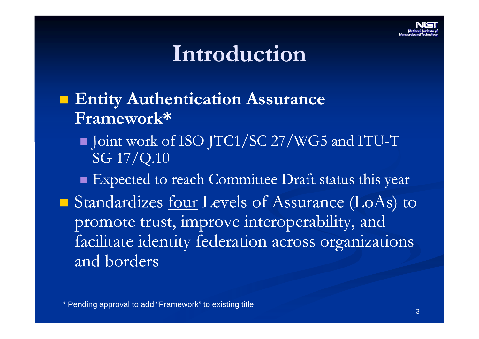

### Introduction

- **Entity Authentication Assurance** Framework\*
	- Joint work of ISO JTC1/SC 27/WG5 and ITU-T SG 17/Q.10
	- **Expected to reach Committee Draft status this year**
- Standardizes <u>four</u> Levels of Assurance (LoAs) to promote trust, improve interoperability, and facilitate identity federation across organizationsand borders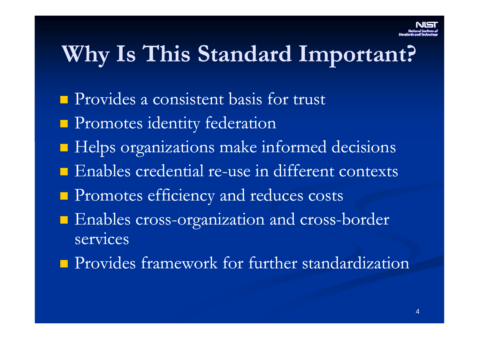### Why Is This Standard Important?

- **Provides a consistent basis for trust**
- **Promotes identity federation**
- **Helps organizations make informed decisions**
- **Enables credential re-use in different contexts**
- **Promotes efficiency and reduces costs**
- Enables cross-organization and cross-border services
- **Provides framework for further standardization**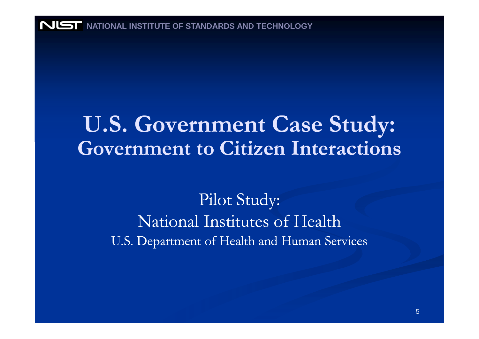**NIST** NATIONAL INSTITUTE OF STANDARDS AND TECHNOLOGY

### U.S. Government Case Study: Government to Citizen Interactions

#### Pilot Study: National Institutes of HealthU.S. Department of Health and Human Services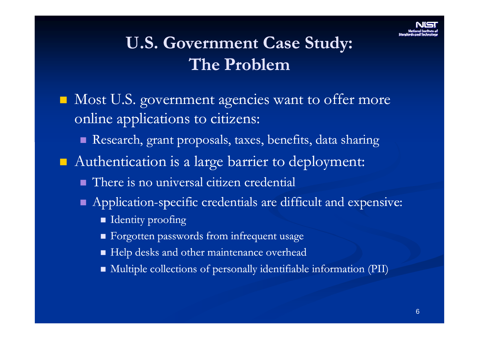#### U.S. Government Case Study: The Problem

- Most U.S. government agencies want to offer more online applications to citizens:
	- Research, grant proposals, taxes, benefits, data sharing
- Authentication is a large barrier to deployment:
	- **There is no universal citizen credential**
	- $\blacksquare$  Application-specific credentials are difficult and expensive:
		- $\blacksquare$  Identity proofing
		- **Executed Executer Passwords from infrequent usage**
		- Help desks and other maintenance overhead
		- Multiple collections of personally identifiable information (PII)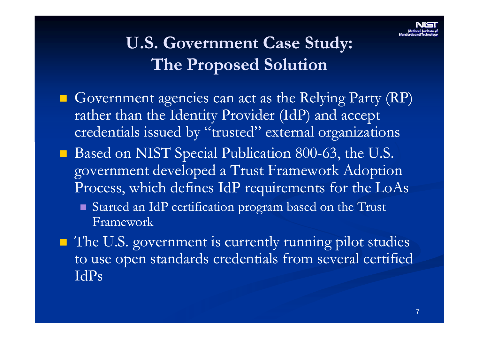### U.S. Government Case Study:The Proposed Solution

- Government agencies can act as the Relying Party (RP) rather than the Identity Provider (IdP) and accept credentials issued by "trusted" external organizations
- Based on NIST Special Publication 800-63, the U.S. government developed a Trust Framework Adoption Process, which defines IdP requirements for the LoAs
	- Started an IdP certification program based on the Trust Framework
- The U.S. government is currently running pilot studies to use open standards credentials from several certified IdPs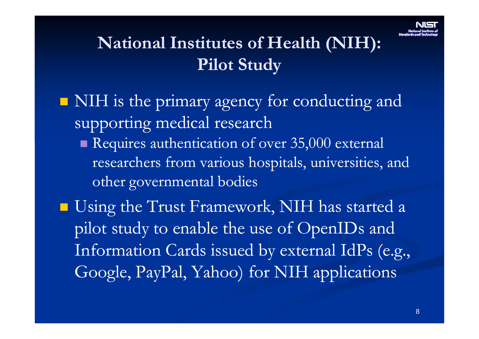#### National Institutes of Health (NIH): Pilot Study

- $\blacksquare$  NIH is the primary agency for conducting and supporting medical research
	- Requires authentication of over 35,000 external researchers from various hospitals, universities, and other governmental bodies
- **Using the Trust Framework, NIH has started a** pilot study to enable the use of OpenIDs and Information Cards issued by external IdPs (e.g., Google, PayPal, Yahoo) for NIH applications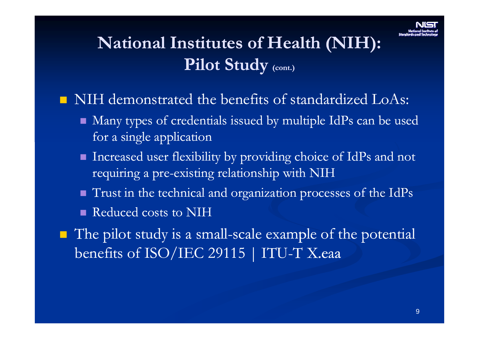### National Institutes of Health (NIH): Pilot Study <sub>(cont.)</sub>

- NIH demonstrated the benefits of standardized LoAs:
	- Many types of credentials issued by multiple IdPs can be used for a single application
	- Increased user flexibility by providing choice of IdPs and not requiring a pre-existing relationship with NIH
	- Trust in the technical and organization processes of the IdPs
	-
- Equining a pre-existing relationship with IVIII<br>
 Trust in the technical and organization processes of the IdPs<br>
 Reduced costs to NIH<br>
 The pilot study is a small-scale example of the potential<br>
benefits of ISO/IEC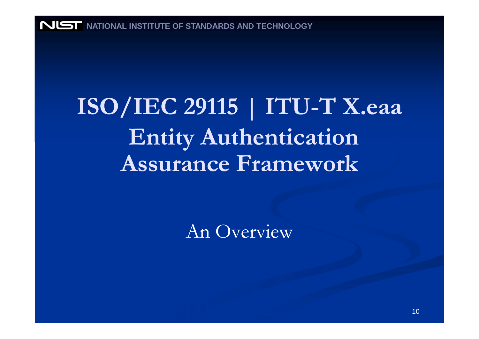**NUST** NATIONAL INSTITUTE OF STANDARDS AND TECHNOLOGY

# **ISO/IEC 29115 | ITU-T X.eaa**<br>T Entity Authentication Assurance Framework

An Overview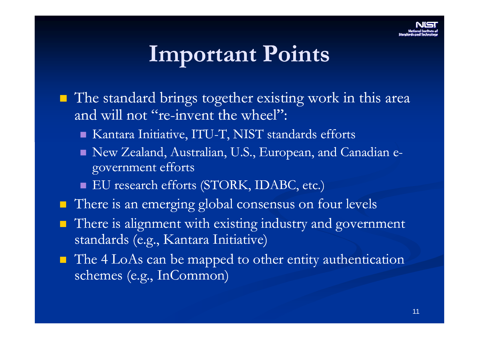## Important Points

- The standard brings together existing work in this area and will not "re-invent the wheel":
	- Kantara Initiative, ITU-T, NIST standards efforts
	- New Zealand, Australian, U.S., European, and Canadian egovernment efforts
	- EU research efforts (STORK, IDABC, etc.)
- There is an emerging global consensus on four levels
- There is alignment with existing industry and government standards (e.g., Kantara Initiative)
- The 4 LoAs can be mapped to other entity authentication schemes (e.g., InCommon)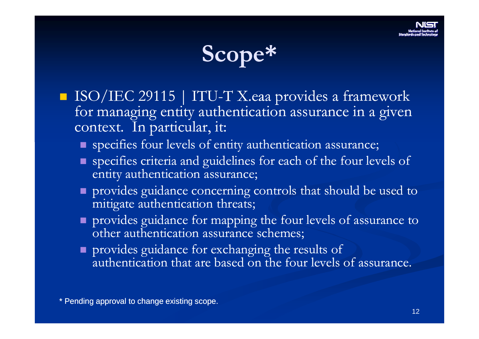

- $\blacksquare$  ISO/IEC 29115 | ITU-T X.eaa provides a framework for managing entity authentication assurance in a given context. In particular, it:
	- specifies four levels of entity authentication assurance;
	- **Specifies criteria and guidelines for each of the four levels of** entity authentication assurance;
	- **provides guidance concerning controls that should be used to** mitigate authentication threats;
	- provides guidance for mapping the four levels of assurance to other authentication assurance schemes;
	- provides guidance for exchanging the results of authentication that are based on the four levels of assurance.

\* Pending approval to change existing scope.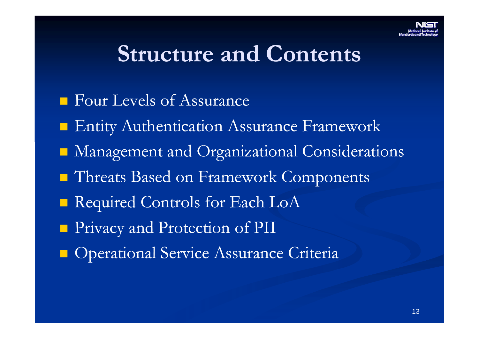### Structure and Contents

- **Four Levels of Assurance**
- **Entity Authentication Assurance Framework**
- Management and Organizational Considerations
- **Threats Based on Framework Components**
- Required Controls for Each LoA
- **Privacy and Protection of PII**
- **Operational Service Assurance Criteria**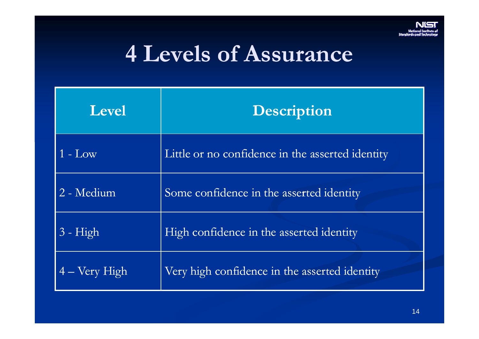

# 4 Levels of Assurance

| Level                  | <b>Description</b>                               |
|------------------------|--------------------------------------------------|
| $1 - Low$              | Little or no confidence in the asserted identity |
| 2 - Medium             | Some confidence in the asserted identity         |
| $3 - High$             | High confidence in the asserted identity         |
| $4 - \text{Very High}$ | Very high confidence in the asserted identity    |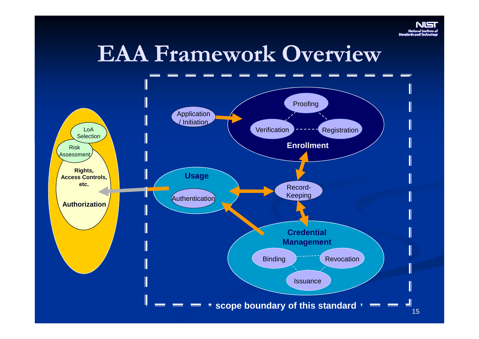

# EAA Framework Overview

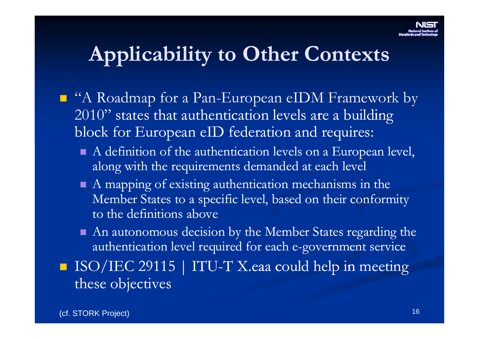### Applicability to Other Contexts

- "A Roadmap for a Pan-European eIDM Framework by 2010" states that authentication levels are a building block for European eID federation and requires:
	- A definition of the authentication levels on a European level, along with the requirements demanded at each level
	- A mapping of existing authentication mechanisms in the Member States to a specific level, based on their conformity to the definitions above
	- An autonomous decision by the Member States regarding the authentication level required for each e-government service
- ISO/IEC 29115 | ITU-T X.eaa could help in meeting these objectives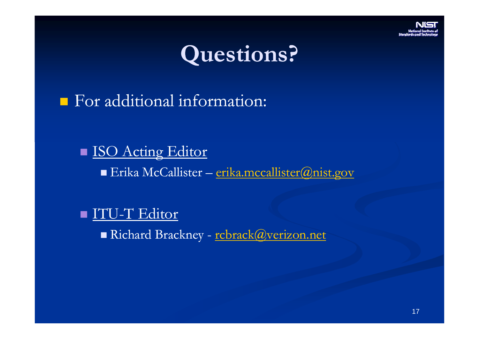



For additional information:

■ <u>ISO Acting Editor</u> ■ Erika McCallister – <u>erika.mccallister@nist.gov</u>

■ <u>ITU-T Editor</u>

Richard Brackney - <u>rcbrack@verizon.net</u>